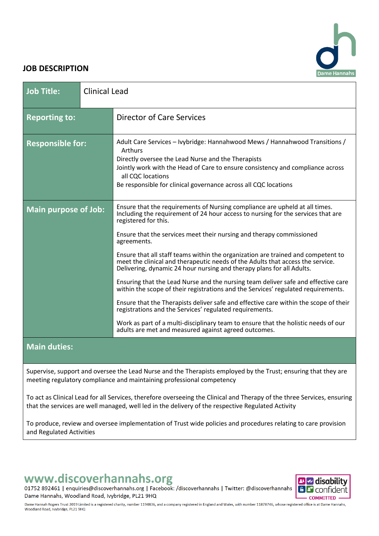# ame Hannah

### **JOB DESCRIPTION**

| <b>Job Title:</b>           | <b>Clinical Lead</b> |                                                                                                                                                                                                                                                                                                                                                                                                                                                                                                                                                                                                                                                                                                                                                                                                                                                                                                                                                                                                          |
|-----------------------------|----------------------|----------------------------------------------------------------------------------------------------------------------------------------------------------------------------------------------------------------------------------------------------------------------------------------------------------------------------------------------------------------------------------------------------------------------------------------------------------------------------------------------------------------------------------------------------------------------------------------------------------------------------------------------------------------------------------------------------------------------------------------------------------------------------------------------------------------------------------------------------------------------------------------------------------------------------------------------------------------------------------------------------------|
| <b>Reporting to:</b>        |                      | <b>Director of Care Services</b>                                                                                                                                                                                                                                                                                                                                                                                                                                                                                                                                                                                                                                                                                                                                                                                                                                                                                                                                                                         |
| <b>Responsible for:</b>     |                      | Adult Care Services - Ivybridge: Hannahwood Mews / Hannahwood Transitions /<br>Arthurs<br>Directly oversee the Lead Nurse and the Therapists<br>Jointly work with the Head of Care to ensure consistency and compliance across<br>all CQC locations<br>Be responsible for clinical governance across all CQC locations                                                                                                                                                                                                                                                                                                                                                                                                                                                                                                                                                                                                                                                                                   |
| <b>Main purpose of Job:</b> |                      | Ensure that the requirements of Nursing compliance are upheld at all times.<br>Including the requirement of 24 hour access to nursing for the services that are<br>registered for this.<br>Ensure that the services meet their nursing and therapy commissioned<br>agreements.<br>Ensure that all staff teams within the organization are trained and competent to<br>meet the clinical and therapeutic needs of the Adults that access the service.<br>Delivering, dynamic 24 hour nursing and therapy plans for all Adults.<br>Ensuring that the Lead Nurse and the nursing team deliver safe and effective care<br>within the scope of their registrations and the Services' regulated requirements.<br>Ensure that the Therapists deliver safe and effective care within the scope of their<br>registrations and the Services' regulated requirements.<br>Work as part of a multi-disciplinary team to ensure that the holistic needs of our<br>adults are met and measured against agreed outcomes. |
| <b>Main duties:</b>         |                      |                                                                                                                                                                                                                                                                                                                                                                                                                                                                                                                                                                                                                                                                                                                                                                                                                                                                                                                                                                                                          |

Supervise, support and oversee the Lead Nurse and the Therapists employed by the Trust; ensuring that they are meeting regulatory compliance and maintaining professional competency

To act as Clinical Lead for all Services, therefore overseeing the Clinical and Therapy of the three Services, ensuring that the services are well managed, well led in the delivery of the respective Regulated Activity

To produce, review and oversee implementation of Trust wide policies and procedures relating to care provision and Regulated Activities

# www.discoverhannahs.org

01752 892461 | enquiries@discoverhannahs.org | Facebook: /discoverhannahs | Twitter: @discoverhannahs Dame Hannahs, Woodland Road, Ivybridge, PL21 9HQ



Dame Hannah Rogers Trust 2019 Limited is a registered charity, number 1194836, and a company registered in England and Wales, with number 11878746, whose registered office is at Dame Hannahs, Woodland Road, Ivybridge, PL21 9HQ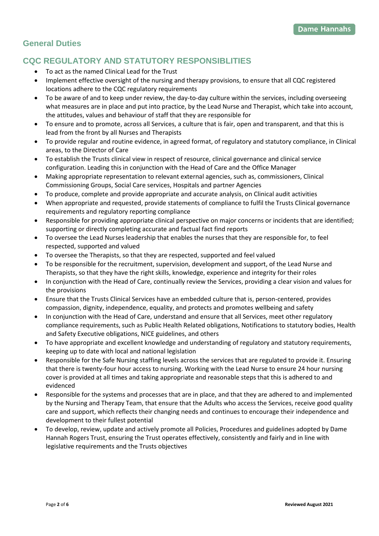# **General Duties**

# **CQC REGULATORY AND STATUTORY RESPONSIBLITIES**

- To act as the named Clinical Lead for the Trust
- Implement effective oversight of the nursing and therapy provisions, to ensure that all CQC registered locations adhere to the CQC regulatory requirements
- To be aware of and to keep under review, the day-to-day culture within the services, including overseeing what measures are in place and put into practice, by the Lead Nurse and Therapist, which take into account, the attitudes, values and behaviour of staff that they are responsible for
- To ensure and to promote, across all Services, a culture that is fair, open and transparent, and that this is lead from the front by all Nurses and Therapists
- To provide regular and routine evidence, in agreed format, of regulatory and statutory compliance, in Clinical areas, to the Director of Care
- To establish the Trusts clinical view in respect of resource, clinical governance and clinical service configuration. Leading this in conjunction with the Head of Care and the Office Manager
- Making appropriate representation to relevant external agencies, such as, commissioners, Clinical Commissioning Groups, Social Care services, Hospitals and partner Agencies
- To produce, complete and provide appropriate and accurate analysis, on Clinical audit activities
- When appropriate and requested, provide statements of compliance to fulfil the Trusts Clinical governance requirements and regulatory reporting compliance
- Responsible for providing appropriate clinical perspective on major concerns or incidents that are identified; supporting or directly completing accurate and factual fact find reports
- To oversee the Lead Nurses leadership that enables the nurses that they are responsible for, to feel respected, supported and valued
- To oversee the Therapists, so that they are respected, supported and feel valued
- To be responsible for the recruitment, supervision, development and support, of the Lead Nurse and Therapists, so that they have the right skills, knowledge, experience and integrity for their roles
- In conjunction with the Head of Care, continually review the Services, providing a clear vision and values for the provisions
- Ensure that the Trusts Clinical Services have an embedded culture that is, person-centered, provides compassion, dignity, independence, equality, and protects and promotes wellbeing and safety
- In conjunction with the Head of Care, understand and ensure that all Services, meet other regulatory compliance requirements, such as Public Health Related obligations, Notifications to statutory bodies, Health and Safety Executive obligations, NICE guidelines, and others
- To have appropriate and excellent knowledge and understanding of regulatory and statutory requirements, keeping up to date with local and national legislation
- Responsible for the Safe Nursing staffing levels across the services that are regulated to provide it. Ensuring that there is twenty-four hour access to nursing. Working with the Lead Nurse to ensure 24 hour nursing cover is provided at all times and taking appropriate and reasonable steps that this is adhered to and evidenced
- Responsible for the systems and processes that are in place, and that they are adhered to and implemented by the Nursing and Therapy Team, that ensure that the Adults who access the Services, receive good quality care and support, which reflects their changing needs and continues to encourage their independence and development to their fullest potential
- To develop, review, update and actively promote all Policies, Procedures and guidelines adopted by Dame Hannah Rogers Trust, ensuring the Trust operates effectively, consistently and fairly and in line with legislative requirements and the Trusts objectives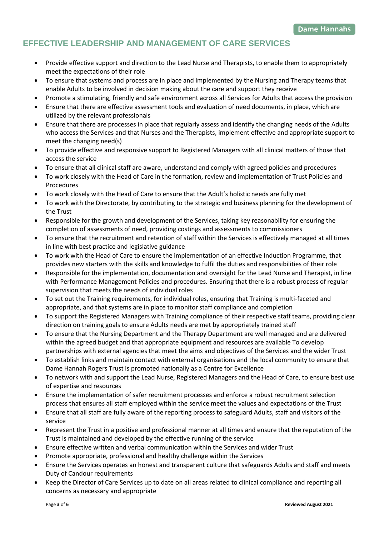# **EFFECTIVE LEADERSHIP AND MANAGEMENT OF CARE SERVICES**

- Provide effective support and direction to the Lead Nurse and Therapists, to enable them to appropriately meet the expectations of their role
- To ensure that systems and process are in place and implemented by the Nursing and Therapy teams that enable Adults to be involved in decision making about the care and support they receive
- Promote a stimulating, friendly and safe environment across all Services for Adults that access the provision
- Ensure that there are effective assessment tools and evaluation of need documents, in place, which are utilized by the relevant professionals
- Ensure that there are processes in place that regularly assess and identify the changing needs of the Adults who access the Services and that Nurses and the Therapists, implement effective and appropriate support to meet the changing need(s)
- To provide effective and responsive support to Registered Managers with all clinical matters of those that access the service
- To ensure that all clinical staff are aware, understand and comply with agreed policies and procedures
- To work closely with the Head of Care in the formation, review and implementation of Trust Policies and Procedures
- To work closely with the Head of Care to ensure that the Adult's holistic needs are fully met
- To work with the Directorate, by contributing to the strategic and business planning for the development of the Trust
- Responsible for the growth and development of the Services, taking key reasonability for ensuring the completion of assessments of need, providing costings and assessments to commissioners
- To ensure that the recruitment and retention of staff within the Services is effectively managed at all times in line with best practice and legislative guidance
- To work with the Head of Care to ensure the implementation of an effective Induction Programme, that provides new starters with the skills and knowledge to fulfil the duties and responsibilities of their role
- Responsible for the implementation, documentation and oversight for the Lead Nurse and Therapist, in line with Performance Management Policies and procedures. Ensuring that there is a robust process of regular supervision that meets the needs of individual roles
- To set out the Training requirements, for individual roles, ensuring that Training is multi-faceted and appropriate, and that systems are in place to monitor staff compliance and completion
- To support the Registered Managers with Training compliance of their respective staff teams, providing clear direction on training goals to ensure Adults needs are met by appropriately trained staff
- To ensure that the Nursing Department and the Therapy Department are well managed and are delivered within the agreed budget and that appropriate equipment and resources are available To develop partnerships with external agencies that meet the aims and objectives of the Services and the wider Trust
- To establish links and maintain contact with external organisations and the local community to ensure that Dame Hannah Rogers Trust is promoted nationally as a Centre for Excellence
- To network with and support the Lead Nurse, Registered Managers and the Head of Care, to ensure best use of expertise and resources
- Ensure the implementation of safer recruitment processes and enforce a robust recruitment selection process that ensures all staff employed within the service meet the values and expectations of the Trust
- Ensure that all staff are fully aware of the reporting process to safeguard Adults, staff and visitors of the service
- Represent the Trust in a positive and professional manner at all times and ensure that the reputation of the Trust is maintained and developed by the effective running of the service
- Ensure effective written and verbal communication within the Services and wider Trust
- Promote appropriate, professional and healthy challenge within the Services
- Ensure the Services operates an honest and transparent culture that safeguards Adults and staff and meets Duty of Candour requirements
- Keep the Director of Care Services up to date on all areas related to clinical compliance and reporting all concerns as necessary and appropriate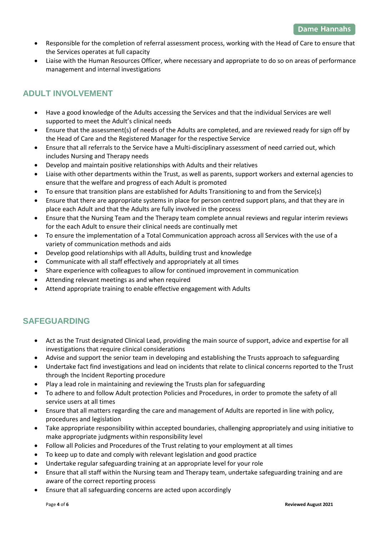- Responsible for the completion of referral assessment process, working with the Head of Care to ensure that the Services operates at full capacity
- Liaise with the Human Resources Officer, where necessary and appropriate to do so on areas of performance management and internal investigations

# **ADULT INVOLVEMENT**

- Have a good knowledge of the Adults accessing the Services and that the individual Services are well supported to meet the Adult's clinical needs
- Ensure that the assessment(s) of needs of the Adults are completed, and are reviewed ready for sign off by the Head of Care and the Registered Manager for the respective Service
- Ensure that all referrals to the Service have a Multi-disciplinary assessment of need carried out, which includes Nursing and Therapy needs
- Develop and maintain positive relationships with Adults and their relatives
- Liaise with other departments within the Trust, as well as parents, support workers and external agencies to ensure that the welfare and progress of each Adult is promoted
- To ensure that transition plans are established for Adults Transitioning to and from the Service(s)
- Ensure that there are appropriate systems in place for person centred support plans, and that they are in place each Adult and that the Adults are fully involved in the process
- Ensure that the Nursing Team and the Therapy team complete annual reviews and regular interim reviews for the each Adult to ensure their clinical needs are continually met
- To ensure the implementation of a Total Communication approach across all Services with the use of a variety of communication methods and aids
- Develop good relationships with all Adults, building trust and knowledge
- Communicate with all staff effectively and appropriately at all times
- Share experience with colleagues to allow for continued improvement in communication
- Attending relevant meetings as and when required
- Attend appropriate training to enable effective engagement with Adults

# **SAFEGUARDING**

- Act as the Trust designated Clinical Lead, providing the main source of support, advice and expertise for all investigations that require clinical considerations
- Advise and support the senior team in developing and establishing the Trusts approach to safeguarding
- Undertake fact find investigations and lead on incidents that relate to clinical concerns reported to the Trust through the Incident Reporting procedure
- Play a lead role in maintaining and reviewing the Trusts plan for safeguarding
- To adhere to and follow Adult protection Policies and Procedures, in order to promote the safety of all service users at all times
- Ensure that all matters regarding the care and management of Adults are reported in line with policy, procedures and legislation
- Take appropriate responsibility within accepted boundaries, challenging appropriately and using initiative to make appropriate judgments within responsibility level
- Follow all Policies and Procedures of the Trust relating to your employment at all times
- To keep up to date and comply with relevant legislation and good practice
- Undertake regular safeguarding training at an appropriate level for your role
- Ensure that all staff within the Nursing team and Therapy team, undertake safeguarding training and are aware of the correct reporting process
- Ensure that all safeguarding concerns are acted upon accordingly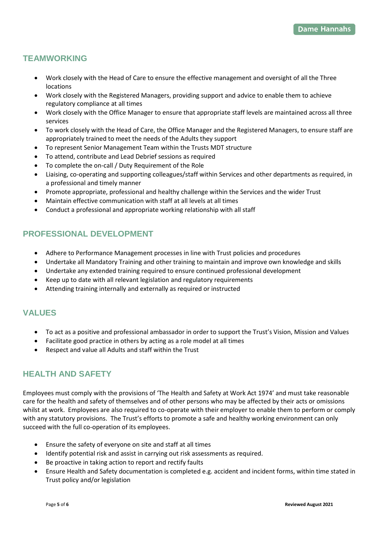# **TEAMWORKING**

- Work closely with the Head of Care to ensure the effective management and oversight of all the Three locations
- Work closely with the Registered Managers, providing support and advice to enable them to achieve regulatory compliance at all times
- Work closely with the Office Manager to ensure that appropriate staff levels are maintained across all three services
- To work closely with the Head of Care, the Office Manager and the Registered Managers, to ensure staff are appropriately trained to meet the needs of the Adults they support
- To represent Senior Management Team within the Trusts MDT structure
- To attend, contribute and Lead Debrief sessions as required
- To complete the on-call / Duty Requirement of the Role
- Liaising, co-operating and supporting colleagues/staff within Services and other departments as required, in a professional and timely manner
- Promote appropriate, professional and healthy challenge within the Services and the wider Trust
- Maintain effective communication with staff at all levels at all times
- Conduct a professional and appropriate working relationship with all staff

# **PROFESSIONAL DEVELOPMENT**

- Adhere to Performance Management processes in line with Trust policies and procedures
- Undertake all Mandatory Training and other training to maintain and improve own knowledge and skills
- Undertake any extended training required to ensure continued professional development
- Keep up to date with all relevant legislation and regulatory requirements
- Attending training internally and externally as required or instructed

# **VALUES**

- To act as a positive and professional ambassador in order to support the Trust's Vision, Mission and Values
- Facilitate good practice in others by acting as a role model at all times
- Respect and value all Adults and staff within the Trust

# **HEALTH AND SAFETY**

Employees must comply with the provisions of 'The Health and Safety at Work Act 1974' and must take reasonable care for the health and safety of themselves and of other persons who may be affected by their acts or omissions whilst at work. Employees are also required to co-operate with their employer to enable them to perform or comply with any statutory provisions. The Trust's efforts to promote a safe and healthy working environment can only succeed with the full co-operation of its employees.

- Ensure the safety of everyone on site and staff at all times
- Identify potential risk and assist in carrying out risk assessments as required.
- Be proactive in taking action to report and rectify faults
- Ensure Health and Safety documentation is completed e.g. accident and incident forms, within time stated in Trust policy and/or legislation